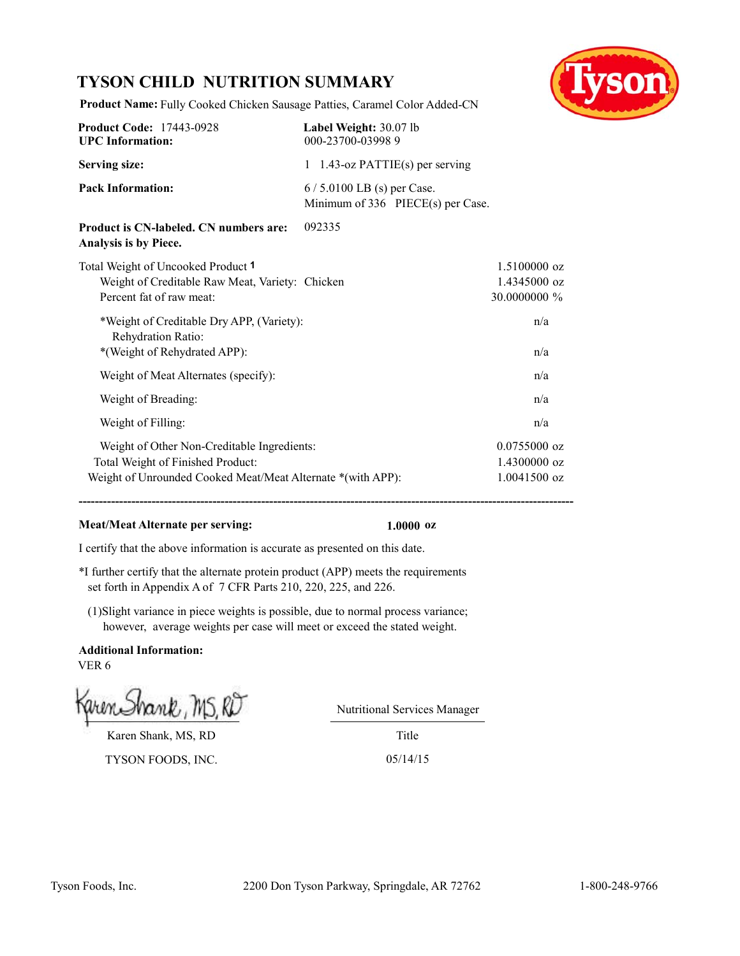## **TYSON CHILD NUTRITION SUMMARY**



**Product Name:** Fully Cooked Chicken Sausage Patties, Caramel Color Added-CN

| <b>Product Code: 17443-0928</b><br><b>UPC</b> Information:                                                                                      | Label Weight: 30.07 lb<br>000-23700-039989                       |                                                  |
|-------------------------------------------------------------------------------------------------------------------------------------------------|------------------------------------------------------------------|--------------------------------------------------|
| <b>Serving size:</b>                                                                                                                            | 1 1.43-oz $PATH(s)$ per serving                                  |                                                  |
| <b>Pack Information:</b>                                                                                                                        | $6/5.0100$ LB (s) per Case.<br>Minimum of 336 PIECE(s) per Case. |                                                  |
| Product is CN-labeled. CN numbers are:<br>Analysis is by Piece.                                                                                 | 092335                                                           |                                                  |
| Total Weight of Uncooked Product 1<br>Weight of Creditable Raw Meat, Variety: Chicken<br>Percent fat of raw meat:                               |                                                                  | $1.5100000$ oz<br>1.4345000 oz<br>30.0000000 %   |
| *Weight of Creditable Dry APP, (Variety):<br>Rehydration Ratio:<br>*(Weight of Rehydrated APP):                                                 |                                                                  | n/a<br>n/a                                       |
| Weight of Meat Alternates (specify):                                                                                                            |                                                                  | n/a                                              |
| Weight of Breading:                                                                                                                             |                                                                  | n/a                                              |
| Weight of Filling:                                                                                                                              |                                                                  | n/a                                              |
| Weight of Other Non-Creditable Ingredients:<br>Total Weight of Finished Product:<br>Weight of Unrounded Cooked Meat/Meat Alternate *(with APP): |                                                                  | $0.0755000$ oz<br>1.4300000 oz<br>$1.0041500$ oz |

**--------------------------------------------------------------------------------------------------------------------------**

#### **Meat/Meat Alternate per serving: 1.0000 oz**

I certify that the above information is accurate as presented on this date.

\*I further certify that the alternate protein product (APP) meets the requirements set forth in Appendix A of 7 CFR Parts 210, 220, 225, and 226.

(1)Slight variance in piece weights is possible, due to normal process variance; however, average weights per case will meet or exceed the stated weight.

**Additional Information:** VER 6

Karen Shank, MS, RD

TYSON FOODS, INC. 05/14/15

Nutritional Services Manager

Title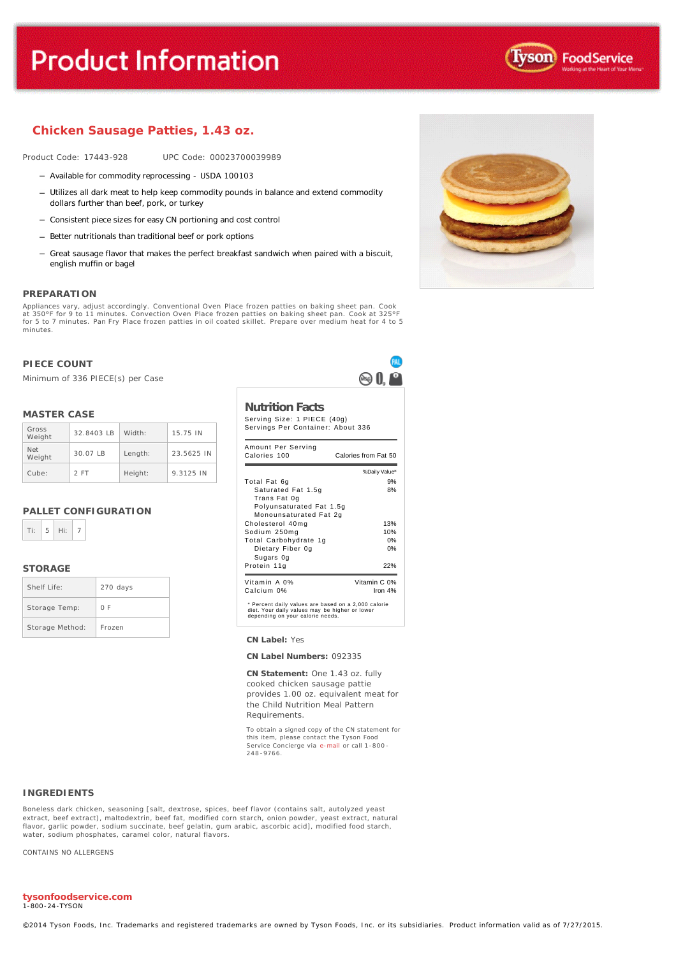# **Product Information**



#### **Chicken Sausage Patties, 1.43 oz.**

Product Code: 17443-928 UPC Code: 00023700039989

- Available for commodity reprocessing USDA 100103
- Utilizes all dark meat to help keep commodity pounds in balance and extend commodity dollars further than beef, pork, or turkey
- Consistent piece sizes for easy CN portioning and cost control
- Better nutritionals than traditional beef or pork options
- Great sausage flavor that makes the perfect breakfast sandwich when paired with a biscuit, english muffin or bagel

#### **PREPARATION**

Appliances vary, adjust accordingly. Conventional Oven Place frozen patties on baking sheet pan. Cook<br>at 350°F for 9 to 11 minutes. Convection Oven Place frozen patties on baking sheet pan. Cook at 325°F<br>for 5 to 7 minutes minutes.

#### **PIECE COUNT**

Minimum of 336 PIECE(s) per Case

#### **MASTER CASE**

| Gross<br>Weight | 32.8403 IB | Width:  | 15.75 IN   |
|-----------------|------------|---------|------------|
| Net<br>Weight   | $30.07$ IB | Length: | 23.5625 IN |
| Cube:           | 2 FT       | Height: | 9.3125 IN  |

#### **PALLET CONFIGURATION**

#### **STORAGE**

| Shelf Life:     | 270 days |
|-----------------|----------|
| Storage Temp:   | 0 F      |
| Storage Method: | Frozen   |



**CN Label:** Yes

**CN Label Numbers:** 092335

**CN Statement:** One 1.43 oz. fully cooked chicken sausage pattie provides 1.00 oz. equivalent meat for the Child Nutrition Meal Pattern Requirements.

To obtain a signed copy of the CN statement for this item, please contact the Tyson Food Service Concierge via [e-mail](mailto:fscomments@tyson.com) or call 1-800 - 248 -9766.

#### **INGREDIENTS**

Boneless dark chicken, seasoning [salt, dextrose, spices, beef flavor (contains salt, autolyzed yeast extract, beef extract), maltodextrin, beef fat, modified corn starch, onion powder, yeast extract, natural flavor, garlic powder, sodium succinate, beef gelatin, gum arabic, ascorbic acid], modified food starch, water, sodium phosphates, caramel color, natural flavors.

CONTAINS NO ALLERGENS

#### **tysonfoodservice.com** 1-800-24-TYSON

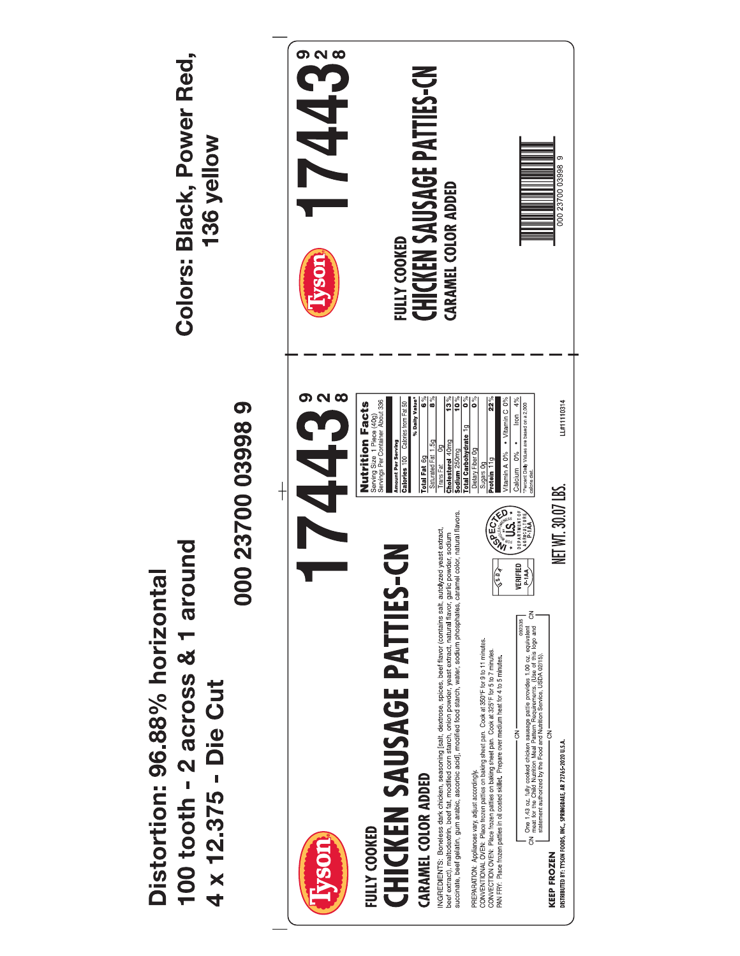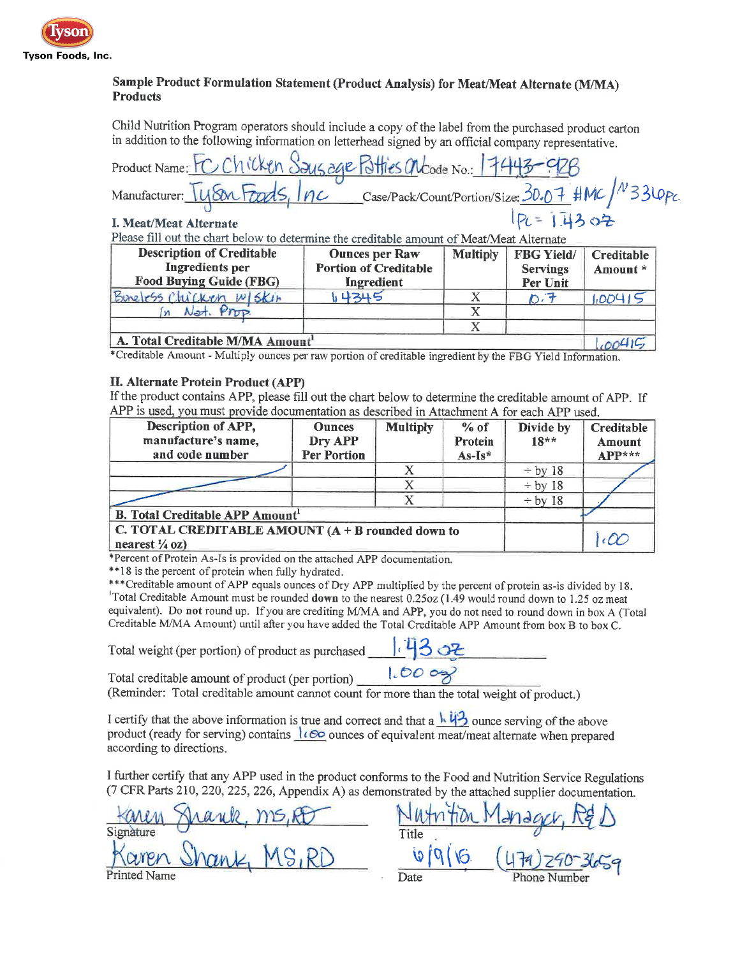

### Sample Product Formulation Statement (Product Analysis) for Meat/Meat Alternate (M/MA) **Products**

Child Nutrition Program operators should include a copy of the label from the purchased product carton in addition to the following information on letterhead signed by an official company representative.

| <b>Description of Creditable</b>                                                          | <b>Ounces per Raw</b> | Multinly FRG Vield/ | $C$ reditable |  |
|-------------------------------------------------------------------------------------------|-----------------------|---------------------|---------------|--|
| Please fill out the chart below to determine the creditable amount of Meat/Meat Alternate |                       |                     |               |  |
| I. Meat/Meat Alternate                                                                    |                       | $1P1 = 1.1302$      |               |  |
|                                                                                           |                       |                     |               |  |
| Manufacturer: Tyson Foods, Inc Case/Pack/Count/Portion/Size: 30.07 #MC/ 33LOPC            |                       |                     |               |  |
| Product Name: FC Chicken Saus age Potties alcode No.: 17443-028                           |                       |                     |               |  |

| <b>Description of Creditable</b><br>Ingredients per<br><b>Food Buying Guide (FBG)</b> | <b>Ounces per Raw</b><br><b>Portion of Creditable</b><br>Ingredient | Multiply | FBG Yield/<br><b>Servings</b><br>Per Unit | Creditable  <br>Amount * |
|---------------------------------------------------------------------------------------|---------------------------------------------------------------------|----------|-------------------------------------------|--------------------------|
| Buneless Chicken W/SKIN                                                               | 4345                                                                |          |                                           | 1,004 P                  |
| In Not. Prop.                                                                         |                                                                     |          |                                           |                          |
|                                                                                       |                                                                     |          |                                           |                          |
| A. Total Creditable M/MA Amount                                                       |                                                                     |          |                                           |                          |

\*Creditable Amount - Multiply ounces per raw portion of creditable ingredient by the FBG Yield Information.

#### II. Alternate Protein Product (APP)

If the product contains APP, please fill out the chart below to determine the creditable amount of APP. If APP is used, you must provide documentation as described in Attachment A for each APP used.

| Description of APP,<br>manufacture's name,<br>and code number                    | <b>Ounces</b><br>Dry APP<br><b>Per Portion</b> | <b>Multiply</b> | $%$ of<br>Protein<br>$As-Is*$ | Divide by<br>$18**$ | Creditable<br><b>Amount</b><br>$APP***$ |
|----------------------------------------------------------------------------------|------------------------------------------------|-----------------|-------------------------------|---------------------|-----------------------------------------|
|                                                                                  |                                                |                 |                               | $\div$ by 18        |                                         |
|                                                                                  |                                                |                 |                               | $\div$ by 18        |                                         |
|                                                                                  |                                                |                 |                               | $\div$ by 18        |                                         |
| <b>B. Total Creditable APP Amount</b>                                            |                                                |                 |                               |                     |                                         |
| C. TOTAL CREDITABLE AMOUNT $(A + B$ rounded down to<br>nearest $\frac{1}{4}$ oz) |                                                |                 |                               |                     |                                         |

\*Percent of Protein As-Is is provided on the attached APP documentation.

\*\*18 is the percent of protein when fully hydrated.

\*\*\* Creditable amount of APP equals ounces of Dry APP multiplied by the percent of protein as-is divided by 18. Total Creditable Amount must be rounded down to the nearest 0.25oz (1.49 would round down to 1.25 oz meat equivalent). Do not round up. If you are crediting M/MA and APP, you do not need to round down in box A (Total Creditable M/MA Amount) until after you have added the Total Creditable APP Amount from box B to box C.

Total weight (per portion) of product as purchased [7302

 $1.000$ 

Total creditable amount of product (per portion)

(Reminder: Total creditable amount cannot count for more than the total weight of product.)

I certify that the above information is true and correct and that a  $\frac{1}{4}$  unce serving of the above product (ready for serving) contains  $\log$  ounces of equivalent meat/meat alternate when prepared according to directions.

I further certify that any APP used in the product conforms to the Food and Nutrition Service Regulations (7 CFR Parts 210, 220, 225, 226, Appendix A) as demonstrated by the attached supplier documentation.

| have ms.A<br>Karen  |       | Jutnition Manager, R& |
|---------------------|-------|-----------------------|
| Signature           | Title |                       |
| Karen Shank, MS, RD |       | 479) 290-36           |
| Printed Name        | Date  | Phone Number          |